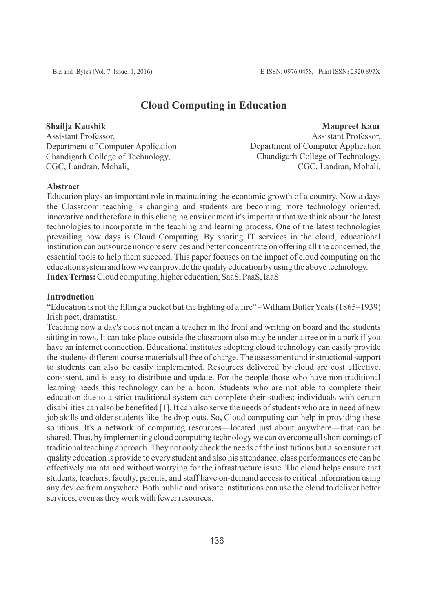# **Cloud Computing in Education**

**Shailja Kaushik** Assistant Professor, Department of Computer Application Chandigarh College of Technology, CGC, Landran, Mohali,

### **Manpreet Kaur**

Assistant Professor, Department of Computer Application Chandigarh College of Technology, CGC, Landran, Mohali,

## **Abstract**

Education plays an important role in maintaining the economic growth of a country. Now a days the Classroom teaching is changing and students are becoming more technology oriented, innovative and therefore in this changing environment it's important that we think about the latest technologies to incorporate in the teaching and learning process. One of the latest technologies prevailing now days is Cloud Computing. By sharing IT services in the cloud, educational institution can outsource noncore services and better concentrate on offering all the concerned, the essential tools to help them succeed. This paper focuses on the impact of cloud computing on the education system and how we can provide the quality education by using the above technology. **Index Terms:** Cloud computing, higher education, SaaS, PaaS, IaaS

#### **Introduction**

"Education is not the filling a bucket but the lighting of a fire" - William Butler Yeats (1865–1939) Irish poet, dramatist.

Teaching now a day's does not mean a teacher in the front and writing on board and the students sitting in rows. It can take place outside the classroom also may be under a tree or in a park if you have an internet connection. Educational institutes adopting cloud technology can easily provide the students different course materials all free of charge. The assessment and instructional support to students can also be easily implemented. Resources delivered by cloud are cost effective, consistent, and is easy to distribute and update. For the people those who have non traditional learning needs this technology can be a boon. Students who are not able to complete their education due to a strict traditional system can complete their studies; individuals with certain disabilities can also be benefited [1]. It can also serve the needs of students who are in need of new job skills and older students like the drop outs. So**,** Cloud computing can help in providing these solutions. It's a network of computing resources—located just about anywhere—that can be shared. Thus, by implementing cloud computing technology we can overcome all short comings of traditional teaching approach. They not only check the needs of the institutions but also ensure that quality education is provide to every student and also his attendance, class performances etc can be effectively maintained without worrying for the infrastructure issue. The cloud helps ensure that students, teachers, faculty, parents, and staff have on-demand access to critical information using any device from anywhere. Both public and private institutions can use the cloud to deliver better services, even as they work with fewer resources.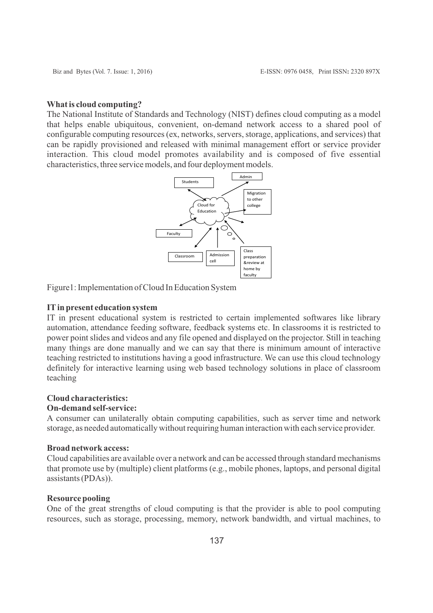#### **What is cloud computing?**

The National Institute of Standards and Technology (NIST) defines cloud computing as a model that helps enable ubiquitous, convenient, on-demand network access to a shared pool of configurable computing resources (ex, networks, servers, storage, applications, and services) that can be rapidly provisioned and released with minimal management effort or service provider interaction. This cloud model promotes availability and is composed of five essential characteristics, three service models, and four deployment models.



Figure1: Implementation of Cloud In Education System

### **ITin present education system**

IT in present educational system is restricted to certain implemented softwares like library automation, attendance feeding software, feedback systems etc. In classrooms it is restricted to power point slides and videos and any file opened and displayed on the projector. Still in teaching many things are done manually and we can say that there is minimum amount of interactive teaching restricted to institutions having a good infrastructure. We can use this cloud technology definitely for interactive learning using web based technology solutions in place of classroom teaching

# **Cloud characteristics:**

#### **On-demand self-service:**

A consumer can unilaterally obtain computing capabilities, such as server time and network storage, as needed automatically without requiring human interaction with each service provider.

#### **Broad network access:**

Cloud capabilities are available over a network and can be accessed through standard mechanisms that promote use by (multiple) client platforms (e.g., mobile phones, laptops, and personal digital assistants (PDAs)).

# **Resource pooling**

One of the great strengths of cloud computing is that the provider is able to pool computing resources, such as storage, processing, memory, network bandwidth, and virtual machines, to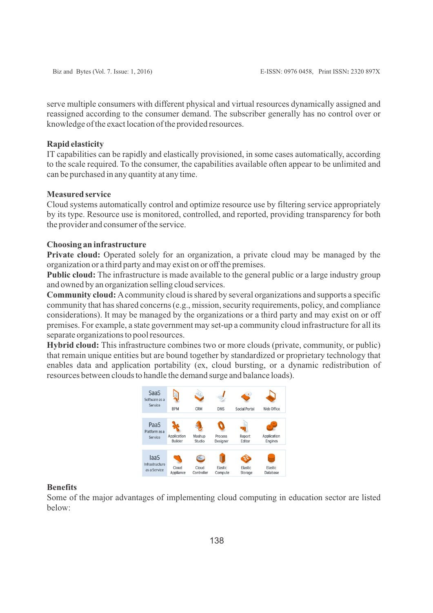serve multiple consumers with different physical and virtual resources dynamically assigned and reassigned according to the consumer demand. The subscriber generally has no control over or knowledge of the exact location of the provided resources.

# **Rapid elasticity**

IT capabilities can be rapidly and elastically provisioned, in some cases automatically, according to the scale required. To the consumer, the capabilities available often appear to be unlimited and can be purchased in any quantity at any time.

#### **Measured service**

Cloud systems automatically control and optimize resource use by filtering service appropriately by its type. Resource use is monitored, controlled, and reported, providing transparency for both the provider and consumer of the service.

# **Choosing an infrastructure**

**Private cloud:** Operated solely for an organization, a private cloud may be managed by the organization or a third party and may exist on or off the premises.

**Public cloud:** The infrastructure is made available to the general public or a large industry group and owned by an organization selling cloud services.

**Community cloud:** Acommunity cloud is shared by several organizations and supports a specific community that has shared concerns (e.g., mission, security requirements, policy, and compliance considerations). It may be managed by the organizations or a third party and may exist on or off premises. For example, a state government may set-up a community cloud infrastructure for all its separate organizations to pool resources.

**Hybrid cloud:** This infrastructure combines two or more clouds (private, community, or public) that remain unique entities but are bound together by standardized or proprietary technology that enables data and application portability (ex, cloud bursting, or a dynamic redistribution of resources between clouds to handle the demand surge and balance loads).



#### **Benefits**

Some of the major advantages of implementing cloud computing in education sector are listed below: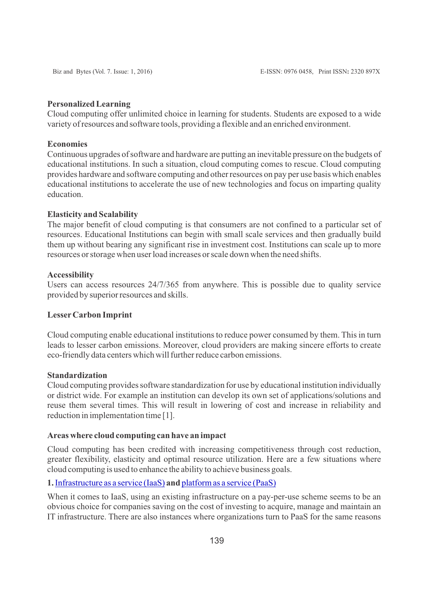#### **Personalized Learning**

Cloud computing offer unlimited choice in learning for students. Students are exposed to a wide variety of resources and software tools, providing a flexible and an enriched environment.

### **Economies**

Continuous upgrades of software and hardware are putting an inevitable pressure on the budgets of educational institutions. In such a situation, cloud computing comes to rescue. Cloud computing provides hardware and software computing and other resources on pay per use basis which enables educational institutions to accelerate the use of new technologies and focus on imparting quality education.

# **Elasticity and Scalability**

The major benefit of cloud computing is that consumers are not confined to a particular set of resources. Educational Institutions can begin with small scale services and then gradually build them up without bearing any significant rise in investment cost. Institutions can scale up to more resources or storage when user load increases or scale down when the need shifts.

## **Accessibility**

Users can access resources 24/7/365 from anywhere. This is possible due to quality service provided by superior resources and skills.

# **LesserCarbon Imprint**

Cloud computing enable educational institutions to reduce power consumed by them. This in turn leads to lesser carbon emissions. Moreover, cloud providers are making sincere efforts to create eco-friendly data centers which will further reduce carbon emissions.

### **Standardization**

Cloud computing provides software standardization for use by educational institution individually or district wide. For example an institution can develop its own set of applications/solutions and reuse them several times. This will result in lowering of cost and increase in reliability and reduction in implementation time [1].

## **Areas where cloud computing can have an impact**

Cloud computing has been credited with increasing competitiveness through cost reduction, greater flexibility, elasticity and optimal resource utilization. Here are a few situations where cloud computing is used to enhance the ability to achieve business goals.

# **1.** [Infrastructure as a service \(IaaS\)](http://www.ibm.com/cloud-computing/us/en/iaas.html) **and** [platform as a service \(PaaS\)](http://www.ibm.com/cloud-computing/us/en/paas.html)

When it comes to IaaS, using an existing infrastructure on a pay-per-use scheme seems to be an obvious choice for companies saving on the cost of investing to acquire, manage and maintain an IT infrastructure. There are also instances where organizations turn to PaaS for the same reasons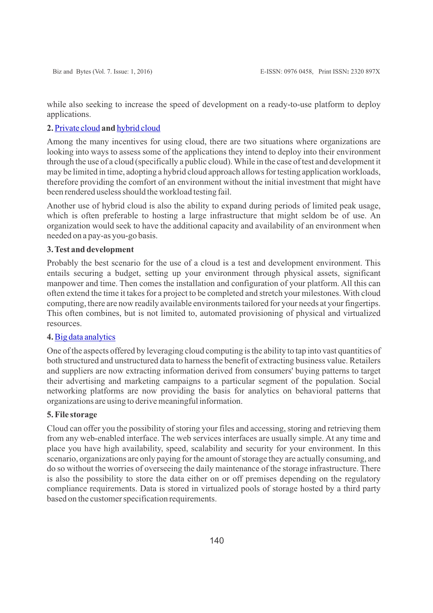while also seeking to increase the speed of development on a ready-to-use platform to deploy applications.

# **2.** [Private cloud](http://www.ibm.com/cloud-computing/us/en/private-cloud.html) **and** [hybrid cloud](http://thoughtsoncloud.com/2014/01/what-is-hybrid-cloud/)

Among the many incentives for using cloud, there are two situations where organizations are looking into ways to assess some of the applications they intend to deploy into their environment through the use of a cloud (specifically a public cloud). While in the case of test and development it may be limited in time, adopting a hybrid cloud approach allows for testing application workloads, therefore providing the comfort of an environment without the initial investment that might have been rendered useless should the workload testing fail.

Another use of hybrid cloud is also the ability to expand during periods of limited peak usage, which is often preferable to hosting a large infrastructure that might seldom be of use. An organization would seek to have the additional capacity and availability of an environment when needed on a pay-as you-go basis.

#### **3. Test and development**

Probably the best scenario for the use of a cloud is a test and development environment. This entails securing a budget, setting up your environment through physical assets, significant manpower and time. Then comes the installation and configuration of your platform. All this can often extend the time it takes for a project to be completed and stretch your milestones. With cloud computing, there are now readily available environments tailored for your needs at your fingertips. This often combines, but is not limited to, automated provisioning of physical and virtualized resources.

# **4.** [Big data analytics](http://www.ibm.com/big-data/us/en/%E2%80%8E)

One of the aspects offered by leveraging cloud computing is the ability to tap into vast quantities of both structured and unstructured data to harness the benefit of extracting business value. Retailers and suppliers are now extracting information derived from consumers' buying patterns to target their advertising and marketing campaigns to a particular segment of the population. Social networking platforms are now providing the basis for analytics on behavioral patterns that organizations are using to derive meaningful information.

# **5. File storage**

Cloud can offer you the possibility of storing your files and accessing, storing and retrieving them from any web-enabled interface. The web services interfaces are usually simple. At any time and place you have high availability, speed, scalability and security for your environment. In this scenario, organizations are only paying for the amount of storage they are actually consuming, and do so without the worries of overseeing the daily maintenance of the storage infrastructure. There is also the possibility to store the data either on or off premises depending on the regulatory compliance requirements. Data is stored in virtualized pools of storage hosted by a third party based on the customer specification requirements.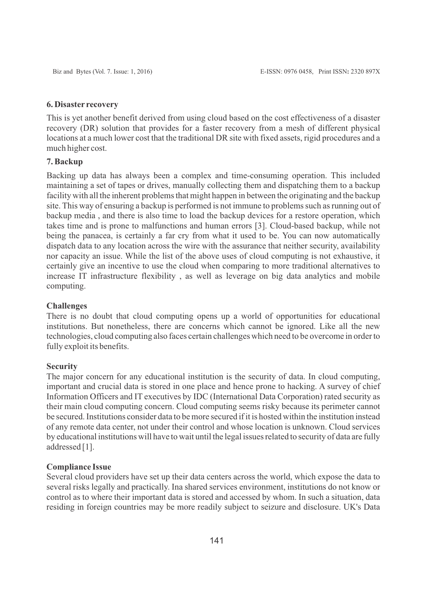#### **6. Disaster recovery**

This is yet another benefit derived from using cloud based on the cost effectiveness of a disaster recovery (DR) solution that provides for a faster recovery from a mesh of different physical locations at a much lower cost that the traditional DR site with fixed assets, rigid procedures and a much higher cost.

# **7. Backup**

Backing up data has always been a complex and time-consuming operation. This included maintaining a set of tapes or drives, manually collecting them and dispatching them to a backup facility with all the inherent problems that might happen in between the originating and the backup site. This way of ensuring a backup is performed is not immune to problems such as running out of backup media , and there is also time to load the backup devices for a restore operation, which takes time and is prone to malfunctions and human errors [3]. Cloud-based backup, while not being the panacea, is certainly a far cry from what it used to be. You can now automatically dispatch data to any location across the wire with the assurance that neither security, availability nor capacity an issue. While the list of the above uses of cloud computing is not exhaustive, it certainly give an incentive to use the cloud when comparing to more traditional alternatives to increase IT infrastructure flexibility , as well as leverage on big data analytics and mobile computing.

#### **Challenges**

There is no doubt that cloud computing opens up a world of opportunities for educational institutions. But nonetheless, there are concerns which cannot be ignored. Like all the new technologies, cloud computing also faces certain challenges which need to be overcome in order to fully exploit its benefits.

### **Security**

The major concern for any educational institution is the security of data. In cloud computing, important and crucial data is stored in one place and hence prone to hacking. A survey of chief Information Officers and IT executives by IDC (International Data Corporation) rated security as their main cloud computing concern. Cloud computing seems risky because its perimeter cannot be secured. Institutions consider data to be more secured if it is hosted within the institution instead of any remote data center, not under their control and whose location is unknown. Cloud services by educational institutions will have to wait until the legal issues related to security of data are fully addressed [1].

## **Compliance Issue**

Several cloud providers have set up their data centers across the world, which expose the data to several risks legally and practically. Ina shared services environment, institutions do not know or control as to where their important data is stored and accessed by whom. In such a situation, data residing in foreign countries may be more readily subject to seizure and disclosure. UK's Data